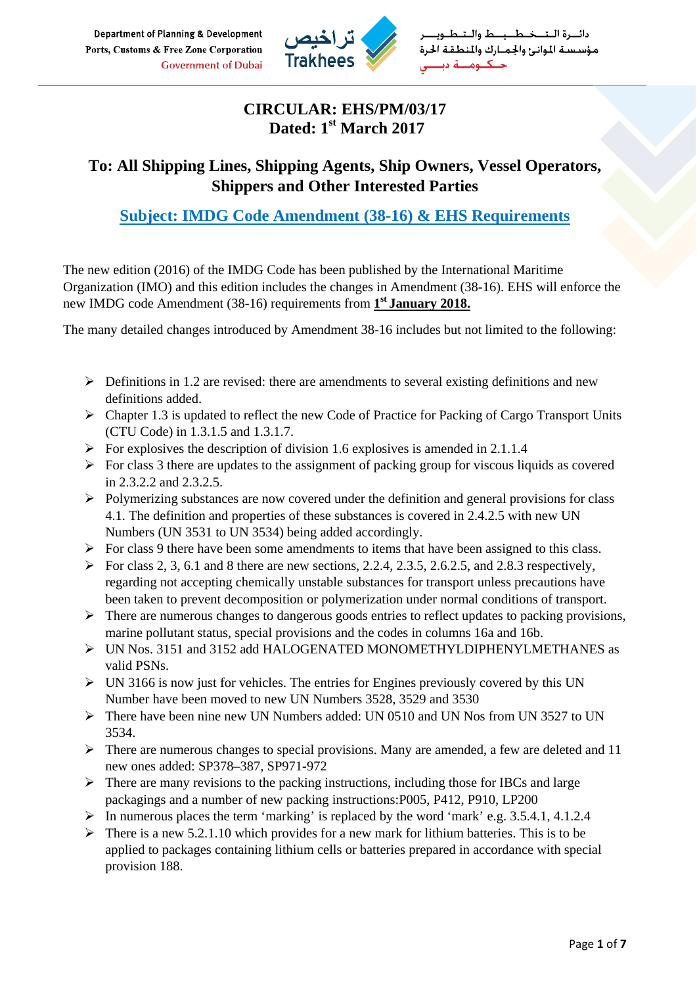

## **CIRCULAR: EHS/PM/03/17 Dated: 1st March 2017**

# **To: All Shipping Lines, Shipping Agents, Ship Owners, Vessel Operators, Shippers and Other Interested Parties**

# **Subject: IMDG Code Amendment (38-16) & EHS Requirements**

The new edition (2016) of the IMDG Code has been published by the International Maritime Organization (IMO) and this edition includes the changes in Amendment (38-16). EHS will enforce the new IMDG code Amendment (38-16) requirements from **1st January 2018.**

The many detailed changes introduced by Amendment 38-16 includes but not limited to the following:

- $\triangleright$  Definitions in 1.2 are revised: there are amendments to several existing definitions and new definitions added.
- $\triangleright$  Chapter 1.3 is updated to reflect the new Code of Practice for Packing of Cargo Transport Units (CTU Code) in 1.3.1.5 and 1.3.1.7.
- $\triangleright$  For explosives the description of division 1.6 explosives is amended in 2.1.1.4
- $\triangleright$  For class 3 there are updates to the assignment of packing group for viscous liquids as covered in 2.3.2.2 and 2.3.2.5.
- $\triangleright$  Polymerizing substances are now covered under the definition and general provisions for class 4.1. The definition and properties of these substances is covered in 2.4.2.5 with new UN Numbers (UN 3531 to UN 3534) being added accordingly.
- $\triangleright$  For class 9 there have been some amendments to items that have been assigned to this class.
- $\triangleright$  For class 2, 3, 6.1 and 8 there are new sections, 2.2.4, 2.3.5, 2.6.2.5, and 2.8.3 respectively, regarding not accepting chemically unstable substances for transport unless precautions have been taken to prevent decomposition or polymerization under normal conditions of transport.
- $\triangleright$  There are numerous changes to dangerous goods entries to reflect updates to packing provisions, marine pollutant status, special provisions and the codes in columns 16a and 16b.
- ¾ UN Nos. 3151 and 3152 add HALOGENATED MONOMETHYLDIPHENYLMETHANES as valid PSNs.
- $\triangleright$  UN 3166 is now just for vehicles. The entries for Engines previously covered by this UN Number have been moved to new UN Numbers 3528, 3529 and 3530
- $\triangleright$  There have been nine new UN Numbers added: UN 0510 and UN Nos from UN 3527 to UN 3534.
- $\triangleright$  There are numerous changes to special provisions. Many are amended, a few are deleted and 11 new ones added: SP378–387, SP971-972
- $\triangleright$  There are many revisions to the packing instructions, including those for IBCs and large packagings and a number of new packing instructions:P005, P412, P910, LP200
- $\triangleright$  In numerous places the term 'marking' is replaced by the word 'mark' e.g. 3.5.4.1, 4.1.2.4
- $\triangleright$  There is a new 5.2.1.10 which provides for a new mark for lithium batteries. This is to be applied to packages containing lithium cells or batteries prepared in accordance with special provision 188.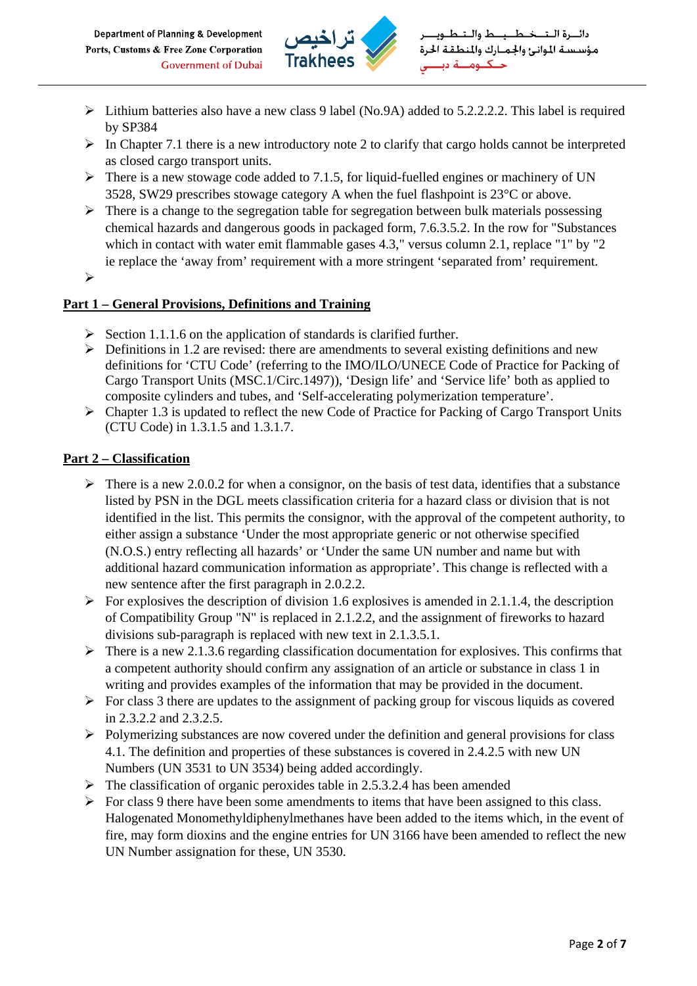

- $\triangleright$  Lithium batteries also have a new class 9 label (No.9A) added to 5.2.2.2.2. This label is required by SP384
- $\triangleright$  In Chapter 7.1 there is a new introductory note 2 to clarify that cargo holds cannot be interpreted as closed cargo transport units.
- $\triangleright$  There is a new stowage code added to 7.1.5, for liquid-fuelled engines or machinery of UN 3528, SW29 prescribes stowage category A when the fuel flashpoint is 23°C or above.
- $\triangleright$  There is a change to the segregation table for segregation between bulk materials possessing chemical hazards and dangerous goods in packaged form, 7.6.3.5.2. In the row for "Substances which in contact with water emit flammable gases 4.3," versus column 2.1, replace "1" by "2 ie replace the 'away from' requirement with a more stringent 'separated from' requirement.
- $\blacktriangleright$

## **Part 1 – General Provisions, Definitions and Training**

- $\triangleright$  Section 1.1.1.6 on the application of standards is clarified further.
- $\triangleright$  Definitions in 1.2 are revised: there are amendments to several existing definitions and new definitions for 'CTU Code' (referring to the IMO/ILO/UNECE Code of Practice for Packing of Cargo Transport Units (MSC.1/Circ.1497)), 'Design life' and 'Service life' both as applied to composite cylinders and tubes, and 'Self-accelerating polymerization temperature'.
- $\triangleright$  Chapter 1.3 is updated to reflect the new Code of Practice for Packing of Cargo Transport Units (CTU Code) in 1.3.1.5 and 1.3.1.7.

#### **Part 2 – Classification**

- $\triangleright$  There is a new 2.0.0.2 for when a consignor, on the basis of test data, identifies that a substance listed by PSN in the DGL meets classification criteria for a hazard class or division that is not identified in the list. This permits the consignor, with the approval of the competent authority, to either assign a substance 'Under the most appropriate generic or not otherwise specified (N.O.S.) entry reflecting all hazards' or 'Under the same UN number and name but with additional hazard communication information as appropriate'. This change is reflected with a new sentence after the first paragraph in 2.0.2.2.
- $\triangleright$  For explosives the description of division 1.6 explosives is amended in 2.1.1.4, the description of Compatibility Group "N" is replaced in 2.1.2.2, and the assignment of fireworks to hazard divisions sub-paragraph is replaced with new text in 2.1.3.5.1.
- $\triangleright$  There is a new 2.1.3.6 regarding classification documentation for explosives. This confirms that a competent authority should confirm any assignation of an article or substance in class 1 in writing and provides examples of the information that may be provided in the document.
- $\triangleright$  For class 3 there are updates to the assignment of packing group for viscous liquids as covered in 2.3.2.2 and 2.3.2.5.
- $\triangleright$  Polymerizing substances are now covered under the definition and general provisions for class 4.1. The definition and properties of these substances is covered in 2.4.2.5 with new UN Numbers (UN 3531 to UN 3534) being added accordingly.
- $\triangleright$  The classification of organic peroxides table in 2.5.3.2.4 has been amended
- $\triangleright$  For class 9 there have been some amendments to items that have been assigned to this class. Halogenated Monomethyldiphenylmethanes have been added to the items which, in the event of fire, may form dioxins and the engine entries for UN 3166 have been amended to reflect the new UN Number assignation for these, UN 3530.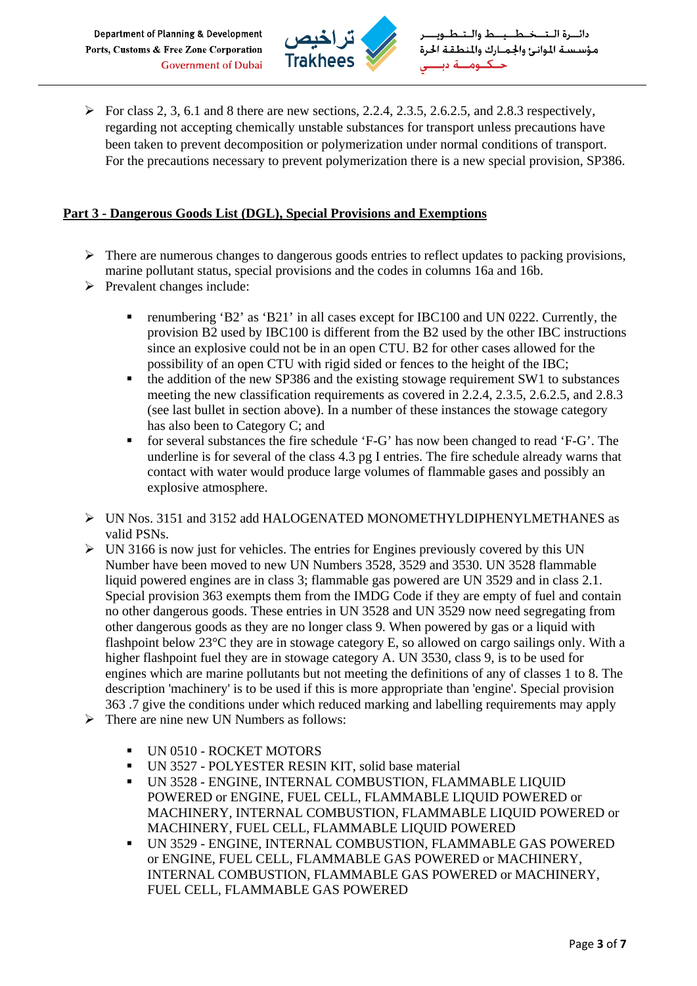

 $\triangleright$  For class 2, 3, 6.1 and 8 there are new sections, 2.2.4, 2.3.5, 2.6.2.5, and 2.8.3 respectively, regarding not accepting chemically unstable substances for transport unless precautions have been taken to prevent decomposition or polymerization under normal conditions of transport. For the precautions necessary to prevent polymerization there is a new special provision, SP386.

#### **Part 3 - Dangerous Goods List (DGL), Special Provisions and Exemptions**

- $\triangleright$  There are numerous changes to dangerous goods entries to reflect updates to packing provisions, marine pollutant status, special provisions and the codes in columns 16a and 16b.
- $\triangleright$  Prevalent changes include:
	- renumbering 'B2' as 'B21' in all cases except for IBC100 and UN 0222. Currently, the provision B2 used by IBC100 is different from the B2 used by the other IBC instructions since an explosive could not be in an open CTU. B2 for other cases allowed for the possibility of an open CTU with rigid sided or fences to the height of the IBC;
	- the addition of the new SP386 and the existing stowage requirement SW1 to substances meeting the new classification requirements as covered in 2.2.4, 2.3.5, 2.6.2.5, and 2.8.3 (see last bullet in section above). In a number of these instances the stowage category has also been to Category C; and
	- for several substances the fire schedule 'F-G' has now been changed to read 'F-G'. The underline is for several of the class 4.3 pg I entries. The fire schedule already warns that contact with water would produce large volumes of flammable gases and possibly an explosive atmosphere.
- ¾ UN Nos. 3151 and 3152 add HALOGENATED MONOMETHYLDIPHENYLMETHANES as valid PSNs.
- $\triangleright$  UN 3166 is now just for vehicles. The entries for Engines previously covered by this UN Number have been moved to new UN Numbers 3528, 3529 and 3530. UN 3528 flammable liquid powered engines are in class 3; flammable gas powered are UN 3529 and in class 2.1. Special provision 363 exempts them from the IMDG Code if they are empty of fuel and contain no other dangerous goods. These entries in UN 3528 and UN 3529 now need segregating from other dangerous goods as they are no longer class 9. When powered by gas or a liquid with flashpoint below 23°C they are in stowage category E, so allowed on cargo sailings only. With a higher flashpoint fuel they are in stowage category A. UN 3530, class 9, is to be used for engines which are marine pollutants but not meeting the definitions of any of classes 1 to 8. The description 'machinery' is to be used if this is more appropriate than 'engine'. Special provision 363 .7 give the conditions under which reduced marking and labelling requirements may apply
- $\triangleright$  There are nine new UN Numbers as follows:
	- UN 0510 ROCKET MOTORS
	- UN 3527 POLYESTER RESIN KIT, solid base material
	- UN 3528 ENGINE, INTERNAL COMBUSTION, FLAMMABLE LIQUID POWERED or ENGINE, FUEL CELL, FLAMMABLE LIQUID POWERED or MACHINERY, INTERNAL COMBUSTION, FLAMMABLE LIQUID POWERED or MACHINERY, FUEL CELL, FLAMMABLE LIQUID POWERED
	- UN 3529 ENGINE, INTERNAL COMBUSTION, FLAMMABLE GAS POWERED or ENGINE, FUEL CELL, FLAMMABLE GAS POWERED or MACHINERY, INTERNAL COMBUSTION, FLAMMABLE GAS POWERED or MACHINERY, FUEL CELL, FLAMMABLE GAS POWERED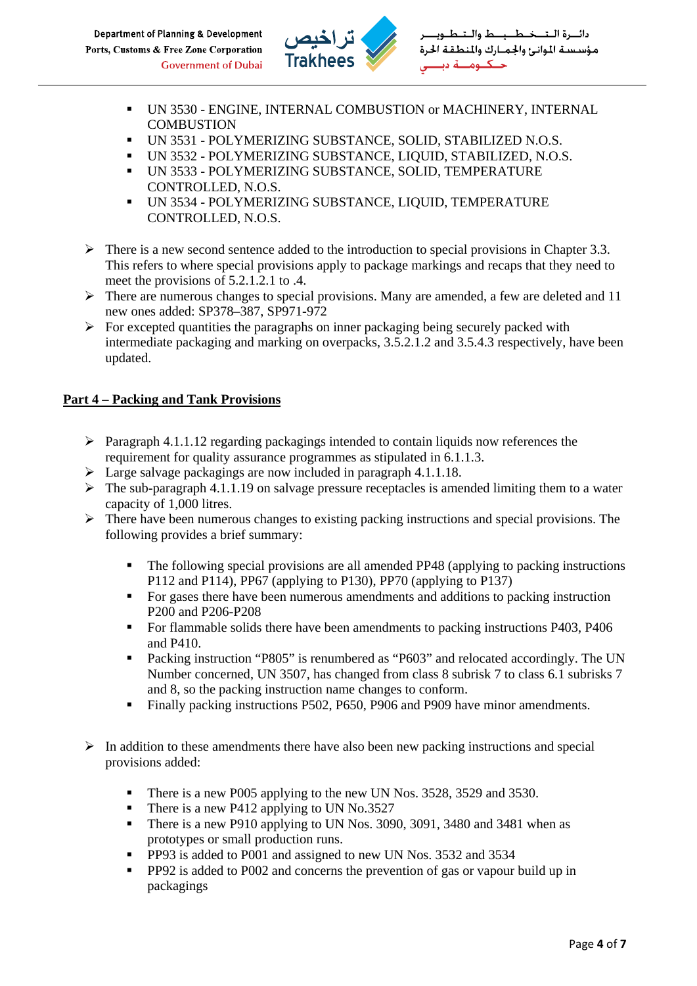

- UN 3530 ENGINE, INTERNAL COMBUSTION or MACHINERY, INTERNAL **COMBUSTION**
- UN 3531 POLYMERIZING SUBSTANCE, SOLID, STABILIZED N.O.S.
- UN 3532 POLYMERIZING SUBSTANCE, LIQUID, STABILIZED, N.O.S.
- UN 3533 POLYMERIZING SUBSTANCE, SOLID, TEMPERATURE CONTROLLED, N.O.S.
- UN 3534 POLYMERIZING SUBSTANCE, LIQUID, TEMPERATURE CONTROLLED, N.O.S.
- $\triangleright$  There is a new second sentence added to the introduction to special provisions in Chapter 3.3. This refers to where special provisions apply to package markings and recaps that they need to meet the provisions of 5.2.1.2.1 to .4.
- $\triangleright$  There are numerous changes to special provisions. Many are amended, a few are deleted and 11 new ones added: SP378–387, SP971-972
- $\triangleright$  For excepted quantities the paragraphs on inner packaging being securely packed with intermediate packaging and marking on overpacks, 3.5.2.1.2 and 3.5.4.3 respectively, have been updated.

## **Part 4 – Packing and Tank Provisions**

- $\triangleright$  Paragraph 4.1.1.12 regarding packagings intended to contain liquids now references the requirement for quality assurance programmes as stipulated in 6.1.1.3.
- $\triangleright$  Large salvage packagings are now included in paragraph 4.1.1.18.
- $\triangleright$  The sub-paragraph 4.1.1.19 on salvage pressure receptacles is amended limiting them to a water capacity of 1,000 litres.
- $\triangleright$  There have been numerous changes to existing packing instructions and special provisions. The following provides a brief summary:
	- The following special provisions are all amended PP48 (applying to packing instructions P112 and P114), PP67 (applying to P130), PP70 (applying to P137)
	- For gases there have been numerous amendments and additions to packing instruction P200 and P206-P208
	- For flammable solids there have been amendments to packing instructions P403, P406 and P410.
	- Packing instruction "P805" is renumbered as "P603" and relocated accordingly. The UN Number concerned, UN 3507, has changed from class 8 subrisk 7 to class 6.1 subrisks 7 and 8, so the packing instruction name changes to conform.
	- Finally packing instructions P502, P650, P906 and P909 have minor amendments.
- $\triangleright$  In addition to these amendments there have also been new packing instructions and special provisions added:
	- There is a new P005 applying to the new UN Nos. 3528, 3529 and 3530.
	- There is a new P412 applying to UN No.3527
	- There is a new P910 applying to UN Nos. 3090, 3091, 3480 and 3481 when as prototypes or small production runs.
	- PP93 is added to P001 and assigned to new UN Nos. 3532 and 3534
	- PP92 is added to P002 and concerns the prevention of gas or vapour build up in packagings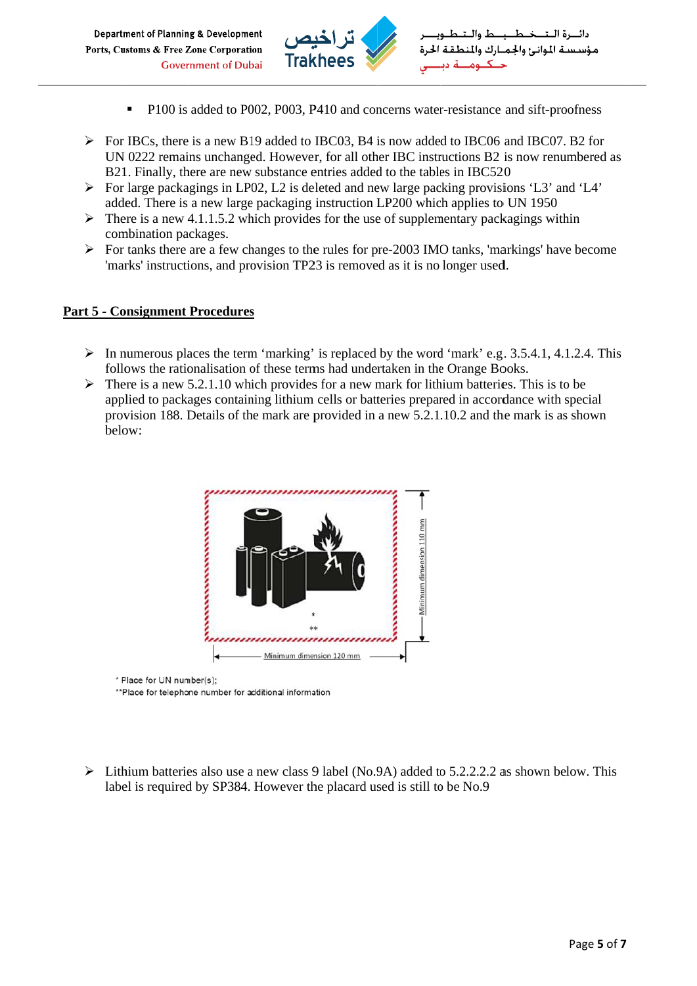

- P100 is added to P002, P003, P410 and concerns water-resistance and sift-proofness
- $\triangleright$  For IBCs, there is a new B19 added to IBC03, B4 is now added to IBC06 and IBC07. B2 for UN 0222 remains unchanged. However, for all other IBC instructions B2 is now renumbered as B21. Finally, there are new substance entries added to the tables in IBC520
- $\triangleright$  For large packagings in LP02, L2 is deleted and new large packing provisions 'L3' and 'L4' added. There is a new large packaging instruction LP200 which applies to UN 1950
- $\triangleright$  There is a new 4.1.1.5.2 which provides for the use of supplementary packagings within combination packages.
- $\triangleright$  For tanks there are a few changes to the rules for pre-2003 IMO tanks, 'markings' have become 'marks' instructions, and provision TP23 is removed as it is no longer used.

#### **Part 5 - Consignment Procedures**

- $\triangleright$  In numerous places the term 'marking' is replaced by the word 'mark' e.g. 3.5.4.1, 4.1.2.4. This follows the rationalisation of these terms had undertaken in the Orange Books.
- $\triangleright$  There is a new 5.2.1.10 which provides for a new mark for lithium batteries. This is to be applied to packages containing lithium cells or batteries prepared in accordance with special provision 188. Details of the mark are provided in a new 5.2.1.10.2 and the mark is as shown below:



- \* Place for UN number(s);
- \*\*Place for telephone number for additional information
- $\triangleright$  Lithium batteries also use a new class 9 label (No.9A) added to 5.2.2.2.2 as shown below. This label is required by SP384. However the placard used is still to be No.9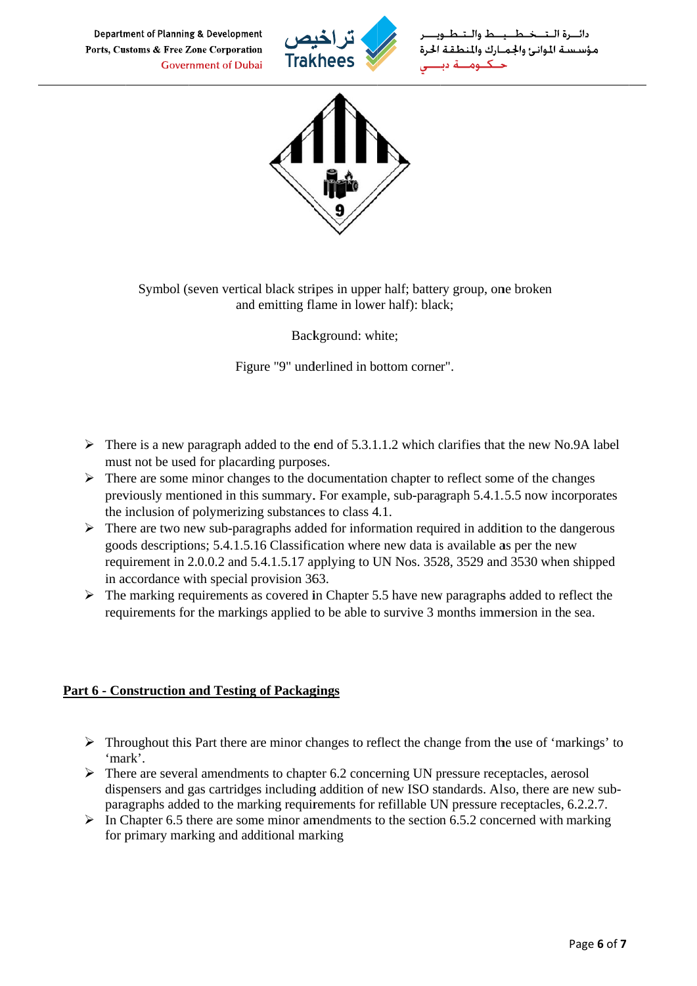

مؤسستة الموانئ والحميارك والم



Symbol (seven vertical black stripes in upper half; battery group, one broken and emitting flame in lower half): black:

Background: white;

Figure "9" underlined in bottom corner".

- $\triangleright$  There is a new paragraph added to the end of 5.3.1.1.2 which clarifies that the new No.9A label must not be used for placarding purposes.
- $\triangleright$  There are some minor changes to the documentation chapter to reflect some of the changes previously mentioned in this summary. For example, sub-paragraph 5.4.1.5.5 now incorporates the inclusion of polymerizing substances to class 4.1.
- $\triangleright$  There are two new sub-paragraphs added for information required in addition to the dangerous goods descriptions; 5.4.1.5.16 Classification where new data is available as per the new requirement in 2.0.0.2 and 5.4.1.5.17 applying to UN Nos. 3528, 3529 and 3530 when shipped in accordance with special provision 363.
- $\triangleright$  The marking requirements as covered in Chapter 5.5 have new paragraphs added to reflect the requirements for the markings applied to be able to survive 3 months immersion in the sea.

#### **Part 6 - Construction and Testing of Packagings**

- $\triangleright$  Throughout this Part there are minor changes to reflect the change from the use of 'markings' to 'mark'.
- $\triangleright$  There are several amendments to chapter 6.2 concerning UN pressure receptacles, aerosol dispensers and gas cartridges including addition of new ISO standards. Also, there are new subparagraphs added to the marking requirements for refillable UN pressure receptacles, 6.2.2.7.
- $\triangleright$  In Chapter 6.5 there are some minor amendments to the section 6.5.2 concerned with marking for primary marking and additional marking